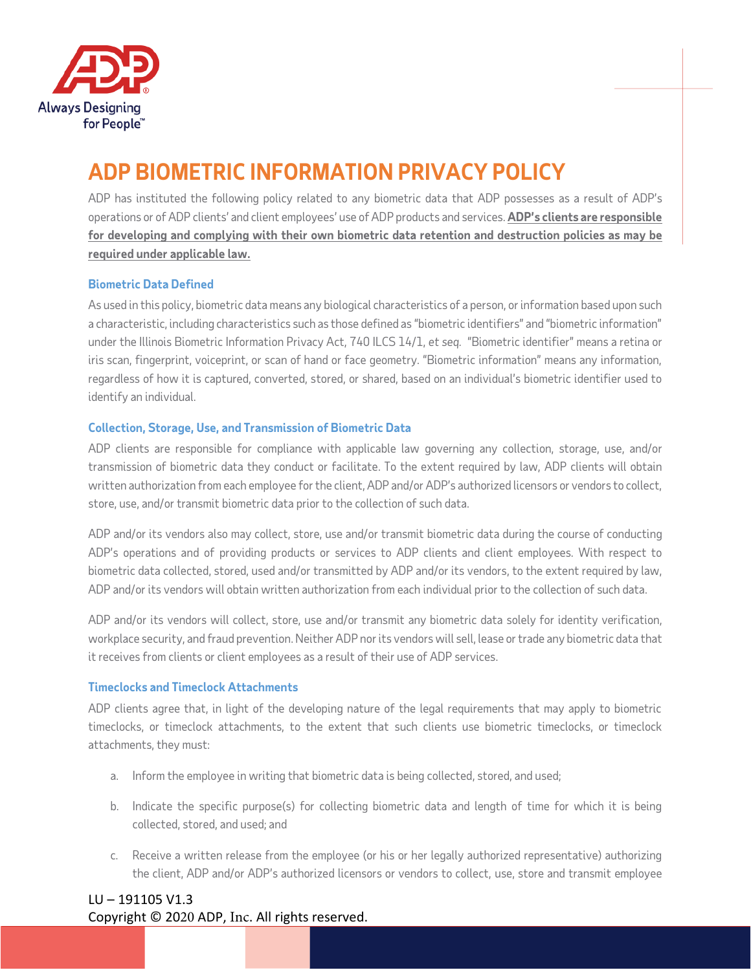

# **ADP BIOMETRIC INFORMATION PRIVACY POLICY**

ADP has instituted the following policy related to any biometric data that ADP possesses as a result of ADP's operations or of ADP clients' and client employees' use of ADP products and services. **ADP's clients are responsible for developing and complying with their own biometric data retention and destruction policies as may be required under applicable law.**

## **Biometric Data Defined**

As used in this policy, biometric data means any biological characteristics of a person, or information based upon such a characteristic, including characteristics such as those defined as "biometric identifiers" and "biometric information" under the Illinois Biometric Information Privacy Act, 740 ILCS 14/1, *et seq.* "Biometric identifier" means a retina or iris scan, fingerprint, voiceprint, or scan of hand or face geometry. "Biometric information" means any information, regardless of how it is captured, converted, stored, or shared, based on an individual's biometric identifier used to identify an individual.

# **Collection, Storage, Use, and Transmission of Biometric Data**

ADP clients are responsible for compliance with applicable law governing any collection, storage, use, and/or transmission of biometric data they conduct or facilitate. To the extent required by law, ADP clients will obtain written authorization from each employee for the client, ADP and/or ADP's authorized licensors or vendors to collect, store, use, and/or transmit biometric data prior to the collection of such data.

ADP and/or its vendors also may collect, store, use and/or transmit biometric data during the course of conducting ADP's operations and of providing products or services to ADP clients and client employees. With respect to biometric data collected, stored, used and/or transmitted by ADP and/or its vendors, to the extent required by law, ADP and/or its vendors will obtain written authorization from each individual prior to the collection of such data.

ADP and/or its vendors will collect, store, use and/or transmit any biometric data solely for identity verification, workplace security, and fraud prevention. Neither ADP nor its vendors will sell, lease or trade any biometric data that it receives from clients or client employees as a result of their use of ADP services.

# **Timeclocks and Timeclock Attachments**

ADP clients agree that, in light of the developing nature of the legal requirements that may apply to biometric timeclocks, or timeclock attachments, to the extent that such clients use biometric timeclocks, or timeclock attachments, they must:

- a. Inform the employee in writing that biometric data is being collected, stored, and used;
- b. Indicate the specific purpose(s) for collecting biometric data and length of time for which it is being collected, stored, and used; and
- c. Receive a written release from the employee (or his or her legally authorized representative) authorizing the client, ADP and/or ADP's authorized licensors or vendors to collect, use, store and transmit employee

# LU – 191105 V1.3 Copyright © 2020 ADP, Inc. All rights reserved.